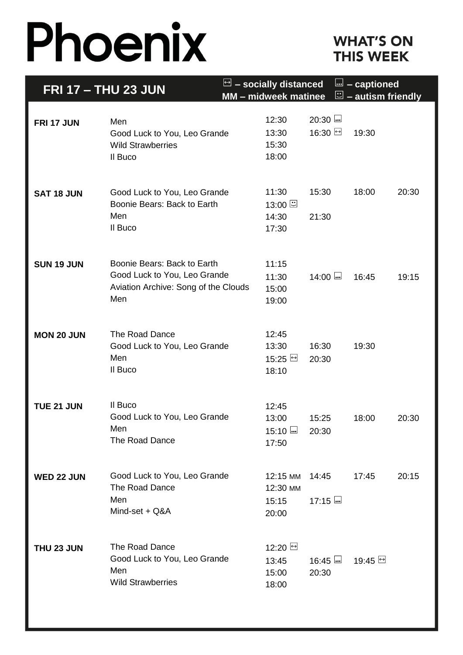# Phoenix

### **WHAT'S ON THIS WEEK**

| <b>FRI 17 - THU 23 JUN</b> |                                                                                                            | $\Box$ – socially distanced<br><b>MM</b> – midweek matinee |                             | <u> </u><br>- captioned<br>$\Xi$ – autism friendly |       |
|----------------------------|------------------------------------------------------------------------------------------------------------|------------------------------------------------------------|-----------------------------|----------------------------------------------------|-------|
| FRI 17 JUN                 | Men<br>Good Luck to You, Leo Grande<br><b>Wild Strawberries</b><br>Il Buco                                 | 12:30<br>13:30<br>15:30<br>18:00                           | $20:30$ $\omega$<br>16:30 년 | 19:30                                              |       |
| <b>SAT 18 JUN</b>          | Good Luck to You, Leo Grande<br>Boonie Bears: Back to Earth<br>Men<br>Il Buco                              | 11:30<br>13:00<br>14:30<br>17:30                           | 15:30<br>21:30              | 18:00                                              | 20:30 |
| <b>SUN 19 JUN</b>          | Boonie Bears: Back to Earth<br>Good Luck to You, Leo Grande<br>Aviation Archive: Song of the Clouds<br>Men | 11:15<br>11:30<br>15:00<br>19:00                           | $14:00$ $-$                 | 16:45                                              | 19:15 |
| <b>MON 20 JUN</b>          | The Road Dance<br>Good Luck to You, Leo Grande<br>Men<br>Il Buco                                           | 12:45<br>13:30<br>15:25 브<br>18:10                         | 16:30<br>20:30              | 19:30                                              |       |
| <b>TUE 21 JUN</b>          | Il Buco<br>Good Luck to You, Leo Grande<br>Men<br>The Road Dance                                           | 12:45<br>13:00<br>$15:10$<br>17:50                         | 15:25<br>20:30              | 18:00                                              | 20:30 |
| WED 22 JUN                 | Good Luck to You, Leo Grande<br><b>The Road Dance</b><br>Men<br>Mind-set + Q&A                             | 12:15 MM<br>12:30 MM<br>15:15<br>20:00                     | 14:45<br>$17:15$            | 17:45                                              | 20:15 |
| THU 23 JUN                 | <b>The Road Dance</b><br>Good Luck to You, Leo Grande<br>Men<br><b>Wild Strawberries</b>                   | 12:20 □<br>13:45<br>15:00<br>18:00                         | $16:45$<br>20:30            |                                                    |       |